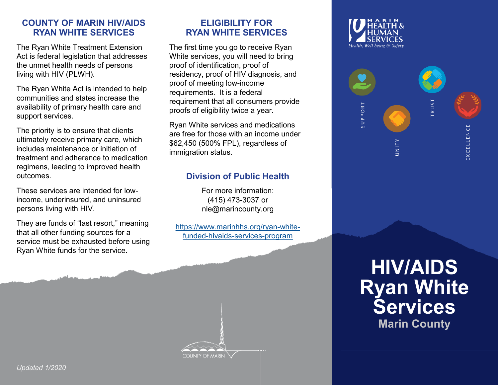# **COUNTY OF MARIN HIV/AIDS RYAN WHITE SERVICES**

The Ryan White Treatment Extension Act is federal legislation that addresses the unmet health needs of persons living with HIV (PLWH).

The Ryan White Act is intended to help communities and states increase the availability of primary health care and support services.

The priority is to ensure that clients ultimately receive primary care, which includes maintenance or initiation of treatment and adherence to medication regimens, leading to improved health outcomes.

These services are intended for lowincome, underinsured, and uninsured persons living with HIV.

They are funds of "last resort," meaning that all other funding sources for a service must be exhausted before using Ryan White funds for the service.

# **ELIGIBILITY FOR RYAN WHITE SERVICES**

The first time you go to receive Ryan White services, you will need to bring proof of identification, proof of residency, proof of HIV diagnosis, and proof of meeting low-income requirements. It is a federal requirement that all consumers provide proofs of eligibility twice a year.

Ryan White services and medications are free for those with an income under \$62,450 (500% FPL), regardless of immigration status.

# **Division of Public Health**

For more information: (415) 473-3037 or nle@marincounty.org

[https://www.marinhhs.org/ryan](https://www.marinhhs.org/ryan-white-funded-hivaids-services-program)-whitefunded-hivaids-services-[program](https://www.marinhhs.org/ryan-white-funded-hivaids-services-program) 





# **HIV/AIDS Ryan White Services Marin County**